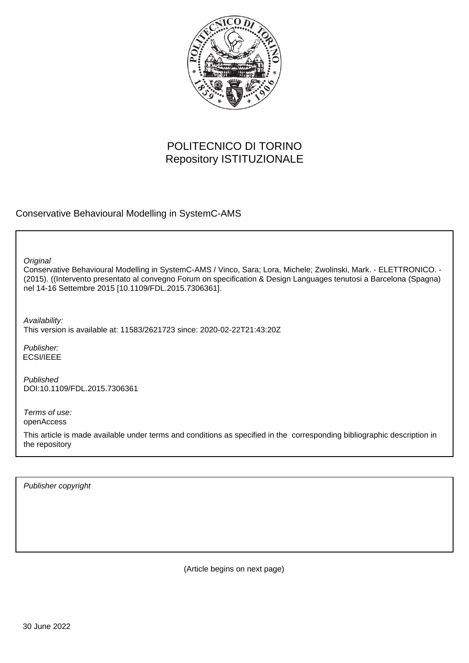

# POLITECNICO DI TORINO Repository ISTITUZIONALE

Conservative Behavioural Modelling in SystemC-AMS

**Original** 

Conservative Behavioural Modelling in SystemC-AMS / Vinco, Sara; Lora, Michele; Zwolinski, Mark. - ELETTRONICO. - (2015). ((Intervento presentato al convegno Forum on specification & Design Languages tenutosi a Barcelona (Spagna) nel 14-16 Settembre 2015 [10.1109/FDL.2015.7306361].

Availability:

This version is available at: 11583/2621723 since: 2020-02-22T21:43:20Z

Publisher: ECSI/IEEE

Published DOI:10.1109/FDL.2015.7306361

Terms of use: openAccess

This article is made available under terms and conditions as specified in the corresponding bibliographic description in the repository

Publisher copyright

(Article begins on next page)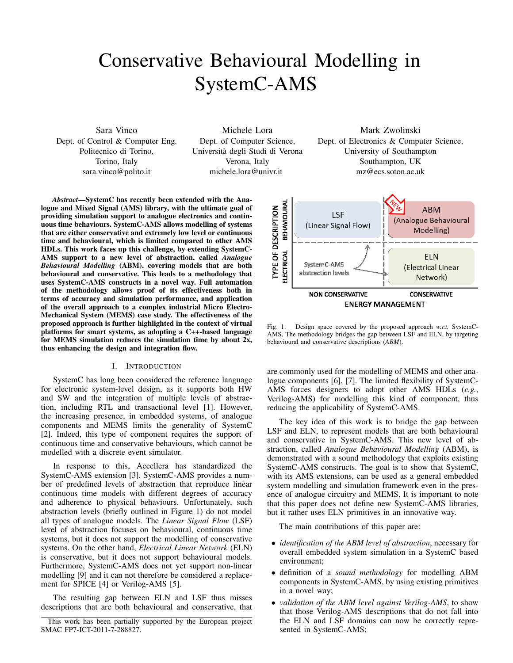# Conservative Behavioural Modelling in SystemC-AMS

Sara Vinco Dept. of Control & Computer Eng. Politecnico di Torino, Torino, Italy sara.vinco@polito.it

Michele Lora Dept. of Computer Science, Università degli Studi di Verona Verona, Italy michele.lora@univr.it

*Abstract*—SystemC has recently been extended with the Analogue and Mixed Signal (AMS) library, with the ultimate goal of providing simulation support to analogue electronics and continuous time behaviours. SystemC-AMS allows modelling of systems that are either conservative and extremely low level or continuous time and behavioural, which is limited compared to other AMS HDLs. This work faces up this challenge, by extending SystemC-AMS support to a new level of abstraction, called *Analogue Behavioural Modelling* (ABM), covering models that are both behavioural and conservative. This leads to a methodology that uses SystemC-AMS constructs in a novel way. Full automation of the methodology allows proof of its effectiveness both in terms of accuracy and simulation performance, and application of the overall approach to a complex industrial Micro Electro-Mechanical System (MEMS) case study. The effectiveness of the proposed approach is further highlighted in the context of virtual platforms for smart systems, as adopting a C++-based language for MEMS simulation reduces the simulation time by about 2x, thus enhancing the design and integration flow.

### I. INTRODUCTION

SystemC has long been considered the reference language for electronic system-level design, as it supports both HW and SW and the integration of multiple levels of abstraction, including RTL and transactional level [1]. However, the increasing presence, in embedded systems, of analogue components and MEMS limits the generality of SystemC [2]. Indeed, this type of component requires the support of continuous time and conservative behaviours, which cannot be modelled with a discrete event simulator.

In response to this, Accellera has standardized the SystemC-AMS extension [3]. SystemC-AMS provides a number of predefined levels of abstraction that reproduce linear continuous time models with different degrees of accuracy and adherence to physical behaviours. Unfortunately, such abstraction levels (briefly outlined in Figure 1) do not model all types of analogue models. The *Linear Signal Flow* (LSF) level of abstraction focuses on behavioural, continuous time systems, but it does not support the modelling of conservative systems. On the other hand, *Electrical Linear Network* (ELN) is conservative, but it does not support behavioural models. Furthermore, SystemC-AMS does not yet support non-linear modelling [9] and it can not therefore be considered a replacement for SPICE [4] or Verilog-AMS [5].

The resulting gap between ELN and LSF thus misses descriptions that are both behavioural and conservative, that





Fig. 1. Design space covered by the proposed approach *w.r.t.* SystemC-AMS. The methodology bridges the gap between LSF and ELN, by targeting behavioural and conservative descriptions (*ABM*).

are commonly used for the modelling of MEMS and other analogue components [6], [7]. The limited flexibility of SystemC-AMS forces designers to adopt other AMS HDLs (*e.g.*, Verilog-AMS) for modelling this kind of component, thus reducing the applicability of SystemC-AMS.

The key idea of this work is to bridge the gap between LSF and ELN, to represent models that are both behavioural and conservative in SystemC-AMS. This new level of abstraction, called *Analogue Behavioural Modelling* (ABM), is demonstrated with a sound methodology that exploits existing SystemC-AMS constructs. The goal is to show that SystemC, with its AMS extensions, can be used as a general embedded system modelling and simulation framework even in the presence of analogue circuitry and MEMS. It is important to note that this paper does not define new SystemC-AMS libraries, but it rather uses ELN primitives in an innovative way.

The main contributions of this paper are:

- *• identification of the ABM level of abstraction*, necessary for overall embedded system simulation in a SystemC based environment;
- *•* definition of a *sound methodology* for modelling ABM components in SystemC-AMS, by using existing primitives in a novel way;
- *• validation of the ABM level against Verilog-AMS*, to show that those Verilog-AMS descriptions that do not fall into the ELN and LSF domains can now be correctly represented in SystemC-AMS;

This work has been partially supported by the European project SMAC FP7-ICT-2011-7-288827.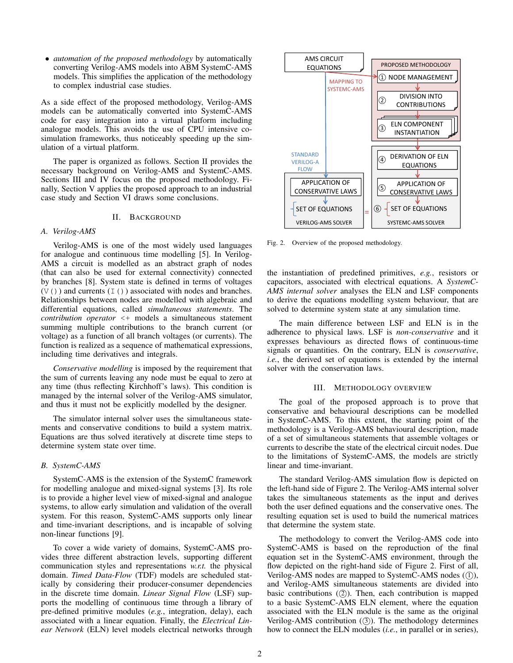*• automation of the proposed methodology* by automatically converting Verilog-AMS models into ABM SystemC-AMS models. This simplifies the application of the methodology to complex industrial case studies.

As a side effect of the proposed methodology, Verilog-AMS models can be automatically converted into SystemC-AMS code for easy integration into a virtual platform including analogue models. This avoids the use of CPU intensive cosimulation frameworks, thus noticeably speeding up the simulation of a virtual platform.

The paper is organized as follows. Section II provides the necessary background on Verilog-AMS and SystemC-AMS. Sections III and IV focus on the proposed methodology. Finally, Section V applies the proposed approach to an industrial case study and Section VI draws some conclusions.

# II. BACKGROUND

#### *A. Verilog-AMS*

Verilog-AMS is one of the most widely used languages for analogue and continuous time modelling [5]. In Verilog-AMS a circuit is modelled as an abstract graph of nodes (that can also be used for external connectivity) connected by branches [8]. System state is defined in terms of voltages  $(V()$ ) and currents  $(I())$  associated with nodes and branches. Relationships between nodes are modelled with algebraic and differential equations, called *simultaneous statements*. The *contribution operator* <+ models a simultaneous statement summing multiple contributions to the branch current (or voltage) as a function of all branch voltages (or currents). The function is realized as a sequence of mathematical expressions, including time derivatives and integrals.

*Conservative modelling* is imposed by the requirement that the sum of currents leaving any node must be equal to zero at any time (thus reflecting Kirchhoff's laws). This condition is managed by the internal solver of the Verilog-AMS simulator, and thus it must not be explicitly modelled by the designer.

The simulator internal solver uses the simultaneous statements and conservative conditions to build a system matrix. Equations are thus solved iteratively at discrete time steps to determine system state over time.

# *B. SystemC-AMS*

SystemC-AMS is the extension of the SystemC framework for modelling analogue and mixed-signal systems [3]. Its role is to provide a higher level view of mixed-signal and analogue systems, to allow early simulation and validation of the overall system. For this reason, SystemC-AMS supports only linear and time-invariant descriptions, and is incapable of solving non-linear functions [9].

To cover a wide variety of domains, SystemC-AMS provides three different abstraction levels, supporting different communication styles and representations *w.r.t.* the physical domain. *Timed Data-Flow* (TDF) models are scheduled statically by considering their producer-consumer dependencies in the discrete time domain. *Linear Signal Flow* (LSF) supports the modelling of continuous time through a library of pre-defined primitive modules (*e.g.*, integration, delay), each associated with a linear equation. Finally, the *Electrical Linear Network* (ELN) level models electrical networks through



Fig. 2. Overview of the proposed methodology.

the instantiation of predefined primitives, *e.g.*, resistors or capacitors, associated with electrical equations. A *SystemC-AMS internal solver* analyses the ELN and LSF components to derive the equations modelling system behaviour, that are solved to determine system state at any simulation time.

The main difference between LSF and ELN is in the adherence to physical laws. LSF is *non-conservative* and it expresses behaviours as directed flows of continuous-time signals or quantities. On the contrary, ELN is *conservative*, *i.e.*, the derived set of equations is extended by the internal solver with the conservation laws.

### III. METHODOLOGY OVERVIEW

The goal of the proposed approach is to prove that conservative and behavioural descriptions can be modelled in SystemC-AMS. To this extent, the starting point of the methodology is a Verilog-AMS behavioural description, made of a set of simultaneous statements that assemble voltages or currents to describe the state of the electrical circuit nodes. Due to the limitations of SystemC-AMS, the models are strictly linear and time-invariant.

The standard Verilog-AMS simulation flow is depicted on the left-hand side of Figure 2. The Verilog-AMS internal solver takes the simultaneous statements as the input and derives both the user defined equations and the conservative ones. The resulting equation set is used to build the numerical matrices that determine the system state.

The methodology to convert the Verilog-AMS code into SystemC-AMS is based on the reproduction of the final equation set in the SystemC-AMS environment, through the flow depicted on the right-hand side of Figure 2. First of all, Verilog-AMS nodes are mapped to SystemC-AMS nodes (1), and Verilog-AMS simultaneous statements are divided into basic contributions (2)). Then, each contribution is mapped to a basic SystemC-AMS ELN element, where the equation associated with the ELN module is the same as the original Verilog-AMS contribution ( $\circ$ ). The methodology determines how to connect the ELN modules (*i.e.*, in parallel or in series),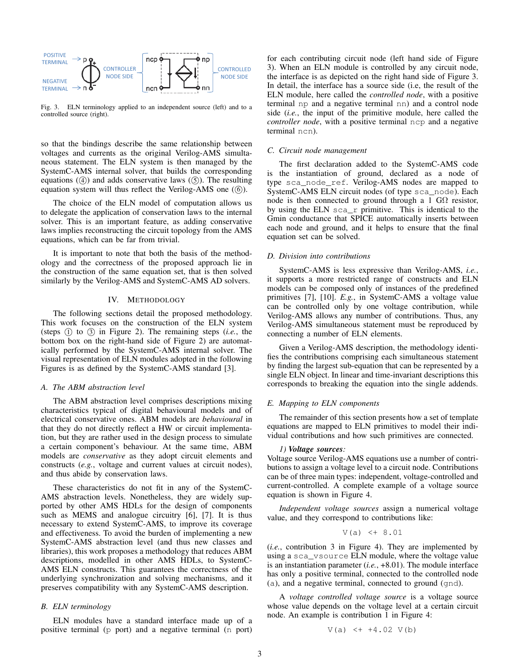

Fig. 3. ELN terminology applied to an independent source (left) and to a controlled source (right).

so that the bindings describe the same relationship between voltages and currents as the original Verilog-AMS simultaneous statement. The ELN system is then managed by the SystemC-AMS internal solver, that builds the corresponding equations  $(\mathcal{A})$  and adds conservative laws  $(\mathcal{A})$ ). The resulting equation system will thus reflect the Verilog-AMS one ( $\circledo$ ).

The choice of the ELN model of computation allows us to delegate the application of conservation laws to the internal solver. This is an important feature, as adding conservative laws implies reconstructing the circuit topology from the AMS equations, which can be far from trivial.

It is important to note that both the basis of the methodology and the correctness of the proposed approach lie in the construction of the same equation set, that is then solved similarly by the Verilog-AMS and SystemC-AMS AD solvers.

#### IV. METHODOLOGY

The following sections detail the proposed methodology. This work focuses on the construction of the ELN system (steps *⃝*<sup>1</sup> to *⃝*<sup>3</sup> in Figure 2). The remaining steps (*i.e.*, the bottom box on the right-hand side of Figure 2) are automatically performed by the SystemC-AMS internal solver. The visual representation of ELN modules adopted in the following Figures is as defined by the SystemC-AMS standard [3].

#### *A. The ABM abstraction level*

The ABM abstraction level comprises descriptions mixing characteristics typical of digital behavioural models and of electrical conservative ones. ABM models are *behavioural* in that they do not directly reflect a HW or circuit implementation, but they are rather used in the design process to simulate a certain component's behaviour. At the same time, ABM models are *conservative* as they adopt circuit elements and constructs (*e.g.*, voltage and current values at circuit nodes), and thus abide by conservation laws.

These characteristics do not fit in any of the SystemC-AMS abstraction levels. Nonetheless, they are widely supported by other AMS HDLs for the design of components such as MEMS and analogue circuitry [6], [7]. It is thus necessary to extend SystemC-AMS, to improve its coverage and effectiveness. To avoid the burden of implementing a new SystemC-AMS abstraction level (and thus new classes and libraries), this work proposes a methodology that reduces ABM descriptions, modelled in other AMS HDLs, to SystemC-AMS ELN constructs. This guarantees the correctness of the underlying synchronization and solving mechanisms, and it preserves compatibility with any SystemC-AMS description.

## *B. ELN terminology*

ELN modules have a standard interface made up of a positive terminal (p port) and a negative terminal (n port) for each contributing circuit node (left hand side of Figure 3). When an ELN module is controlled by any circuit node, the interface is as depicted on the right hand side of Figure 3. In detail, the interface has a source side (i.e, the result of the ELN module, here called the *controlled node*, with a positive terminal np and a negative terminal nn) and a control node side (*i.e.*, the input of the primitive module, here called the *controller node*, with a positive terminal ncp and a negative terminal ncn).

# *C. Circuit node management*

The first declaration added to the SystemC-AMS code is the instantiation of ground, declared as a node of type sca\_node\_ref. Verilog-AMS nodes are mapped to SystemC-AMS ELN circuit nodes (of type sca\_node). Each node is then connected to ground through a 1  $G\Omega$  resistor, by using the ELN sca\_r primitive. This is identical to the Gmin conductance that SPICE automatically inserts between each node and ground, and it helps to ensure that the final equation set can be solved.

#### *D. Division into contributions*

SystemC-AMS is less expressive than Verilog-AMS, *i.e.*, it supports a more restricted range of constructs and ELN models can be composed only of instances of the predefined primitives [7], [10]. *E.g.*, in SystemC-AMS a voltage value can be controlled only by one voltage contribution, while Verilog-AMS allows any number of contributions. Thus, any Verilog-AMS simultaneous statement must be reproduced by connecting a number of ELN elements.

Given a Verilog-AMS description, the methodology identifies the contributions comprising each simultaneous statement by finding the largest sub-equation that can be represented by a single ELN object. In linear and time-invariant descriptions this corresponds to breaking the equation into the single addends.

#### *E. Mapping to ELN components*

The remainder of this section presents how a set of template equations are mapped to ELN primitives to model their individual contributions and how such primitives are connected.

#### *1) Voltage sources:*

Voltage source Verilog-AMS equations use a number of contributions to assign a voltage level to a circuit node. Contributions can be of three main types: independent, voltage-controlled and current-controlled. A complete example of a voltage source equation is shown in Figure 4.

*Independent voltage sources* assign a numerical voltage value, and they correspond to contributions like:

$$
V(a) \leq 8.01
$$

(*i.e.*, contribution 3 in Figure 4). They are implemented by using a sca\_vsource ELN module, where the voltage value is an instantiation parameter (*i.e.*, +8.01). The module interface has only a positive terminal, connected to the controlled node (a), and a negative terminal, connected to ground (gnd).

A *voltage controlled voltage source* is a voltage source whose value depends on the voltage level at a certain circuit node. An example is contribution 1 in Figure 4:

 $V(a)$  < + +4.02  $V(b)$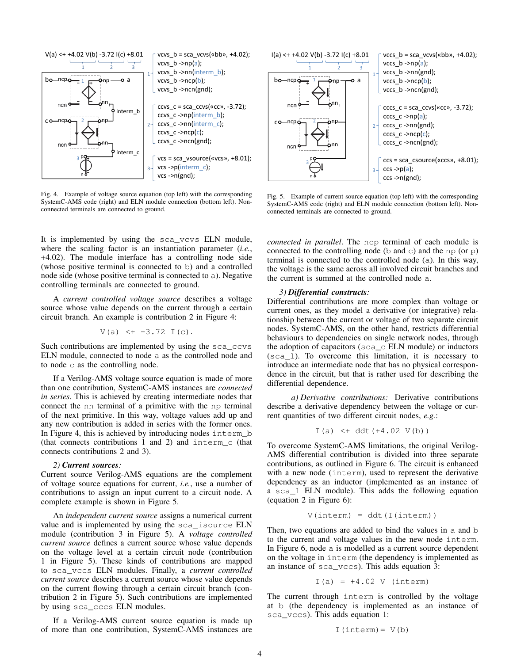

Fig. 4. Example of voltage source equation (top left) with the corresponding SystemC-AMS code (right) and ELN module connection (bottom left). Nonconnected terminals are connected to ground.

It is implemented by using the sca\_vcvs ELN module, where the scaling factor is an instantiation parameter (*i.e.*, +4.02). The module interface has a controlling node side (whose positive terminal is connected to b) and a controlled node side (whose positive terminal is connected to a). Negative controlling terminals are connected to ground.

A *current controlled voltage source* describes a voltage source whose value depends on the current through a certain circuit branch. An example is contribution 2 in Figure 4:

$$
V(a) < + -3.72
$$
 I(c).

Such contributions are implemented by using the sca\_ccvs ELN module, connected to node a as the controlled node and to node c as the controlling node.

If a Verilog-AMS voltage source equation is made of more than one contribution, SystemC-AMS instances are *connected in series*. This is achieved by creating intermediate nodes that connect the nn terminal of a primitive with the np terminal of the next primitive. In this way, voltage values add up and any new contribution is added in series with the former ones. In Figure 4, this is achieved by introducing nodes interm\_b (that connects contributions 1 and 2) and interm\_c (that connects contributions 2 and 3).

#### *2) Current sources:*

Current source Verilog-AMS equations are the complement of voltage source equations for current, *i.e.*, use a number of contributions to assign an input current to a circuit node. A complete example is shown in Figure 5.

An *independent current source* assigns a numerical current value and is implemented by using the sca\_isource ELN module (contribution 3 in Figure 5). A *voltage controlled current source* defines a current source whose value depends on the voltage level at a certain circuit node (contribution 1 in Figure 5). These kinds of contributions are mapped to sca\_vccs ELN modules. Finally, a *current controlled current source* describes a current source whose value depends on the current flowing through a certain circuit branch (contribution 2 in Figure 5). Such contributions are implemented by using sca\_cccs ELN modules.

If a Verilog-AMS current source equation is made up of more than one contribution, SystemC-AMS instances are



Fig. 5. Example of current source equation (top left) with the corresponding SystemC-AMS code (right) and ELN module connection (bottom left). Nonconnected terminals are connected to ground.

*connected in parallel*. The ncp terminal of each module is connected to the controlling node (b and c) and the np (or p) terminal is connected to the controlled node (a). In this way, the voltage is the same across all involved circuit branches and the current is summed at the controlled node a.

#### *3) Differential constructs:*

Differential contributions are more complex than voltage or current ones, as they model a derivative (or integrative) relationship between the current or voltage of two separate circuit nodes. SystemC-AMS, on the other hand, restricts differential behaviours to dependencies on single network nodes, through the adoption of capacitors ( $sca \text{ }\in$  ELN module) or inductors (sca\_l). To overcome this limitation, it is necessary to introduce an intermediate node that has no physical correspondence in the circuit, but that is rather used for describing the differential dependence.

*a) Derivative contributions:* Derivative contributions describe a derivative dependency between the voltage or current quantities of two different circuit nodes, *e.g.*:

$$
I(a) \leftarrow ddt (+4.02 V(b))
$$

To overcome SystemC-AMS limitations, the original Verilog-AMS differential contribution is divided into three separate contributions, as outlined in Figure 6. The circuit is enhanced with a new node (interm), used to represent the derivative dependency as an inductor (implemented as an instance of a sca\_l ELN module). This adds the following equation (equation 2 in Figure 6):

$$
V(interm) = ddt(I(interm))
$$

Then, two equations are added to bind the values in a and b to the current and voltage values in the new node interm. In Figure 6, node a is modelled as a current source dependent on the voltage in interm (the dependency is implemented as an instance of sca\_vccs). This adds equation 3:

$$
I(a) = +4.02 \text{ V} (interm)
$$

The current through interm is controlled by the voltage at b (the dependency is implemented as an instance of sca\_vccs). This adds equation 1:

$$
I(interm) = V(b)
$$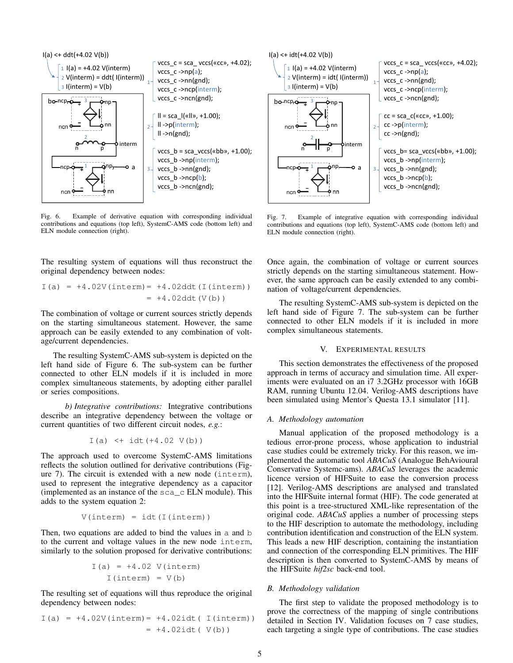

Fig. 6. Example of derivative equation with corresponding individual contributions and equations (top left), SystemC-AMS code (bottom left) and ELN module connection (right).

The resulting system of equations will thus reconstruct the original dependency between nodes:

$$
I(a) = +4.02V(interm) = +4.02ddt(I(interm))
$$
  
= +4.02ddt(V(b))

The combination of voltage or current sources strictly depends on the starting simultaneous statement. However, the same approach can be easily extended to any combination of voltage/current dependencies.

The resulting SystemC-AMS sub-system is depicted on the left hand side of Figure 6. The sub-system can be further connected to other ELN models if it is included in more complex simultaneous statements, by adopting either parallel or series compositions.

*b) Integrative contributions:* Integrative contributions describe an integrative dependency between the voltage or current quantities of two different circuit nodes, *e.g.*:

$$
I(a) \leftarrow idt (+4.02 V(b))
$$

The approach used to overcome SystemC-AMS limitations reflects the solution outlined for derivative contributions (Figure 7). The circuit is extended with a new node (interm), used to represent the integrative dependency as a capacitor (implemented as an instance of the sca\_c ELN module). This adds to the system equation 2:

$$
V(interm) = idt (I(interm))
$$

Then, two equations are added to bind the values in a and b to the current and voltage values in the new node interm, similarly to the solution proposed for derivative contributions:

$$
I(a) = +4.02 \text{ V(interm)}
$$

$$
I(interm) = V(b)
$$

The resulting set of equations will thus reproduce the original dependency between nodes:

$$
I(a) = +4.02V(interm) = +4.02idt (I(interm))
$$
  
= +4.02idt (V(b))



Fig. 7. Example of integrative equation with corresponding individual contributions and equations (top left), SystemC-AMS code (bottom left) and ELN module connection (right).

Once again, the combination of voltage or current sources strictly depends on the starting simultaneous statement. However, the same approach can be easily extended to any combination of voltage/current dependencies.

The resulting SystemC-AMS sub-system is depicted on the left hand side of Figure 7. The sub-system can be further connected to other ELN models if it is included in more complex simultaneous statements.

# V. EXPERIMENTAL RESULTS

This section demonstrates the effectiveness of the proposed approach in terms of accuracy and simulation time. All experiments were evaluated on an i7 3.2GHz processor with 16GB RAM, running Ubuntu 12.04. Verilog-AMS descriptions have been simulated using Mentor's Questa 13.1 simulator [11].

#### *A. Methodology automation*

Manual application of the proposed methodology is a tedious error-prone process, whose application to industrial case studies could be extremely tricky. For this reason, we implemented the automatic tool *ABACuS* (Analogue BehAvioural Conservative Systemc-ams). *ABACuS* leverages the academic licence version of HIFSuite to ease the conversion process [12]. Verilog-AMS descriptions are analysed and translated into the HIFSuite internal format (HIF). The code generated at this point is a tree-structured XML-like representation of the original code. *ABACuS* applies a number of processing steps to the HIF description to automate the methodology, including contribution identification and construction of the ELN system. This leads a new HIF description, containing the instantiation and connection of the corresponding ELN primitives. The HIF description is then converted to SystemC-AMS by means of the HIFSuite *hif2sc* back-end tool.

# *B. Methodology validation*

The first step to validate the proposed methodology is to prove the correctness of the mapping of single contributions detailed in Section IV. Validation focuses on 7 case studies, each targeting a single type of contributions. The case studies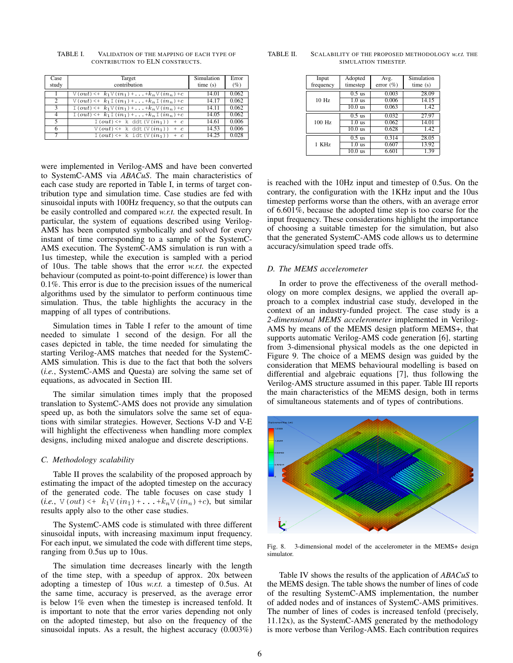| Case<br>study               | Target<br>contribution                                                                   | Simulation<br>time(s) | Error<br>(%) |
|-----------------------------|------------------------------------------------------------------------------------------|-----------------------|--------------|
|                             |                                                                                          |                       |              |
|                             | $V(out) \leq k_1 V(in_1) +  + k_n V(in_n) + c$                                           | 14.01                 | 0.062        |
| $\mathcal{D}_{\mathcal{L}}$ | $\forall (out) \leftarrow k_1 \mathbb{I}(in_1) + \ldots + k_n \mathbb{I}(in_n) + c$      | 14.17                 | 0.062        |
| $\mathbf{3}$                | $\overline{1(\omega ut)\leq k_1\vee(i\overline{n_1})+\ldots+k_n\vee(i\overline{n_n})+c}$ | 14.11                 | 0.062        |
| 4                           | $1 (out) \leftarrow k_1 1 (in_1) +  + k_n 1 (in_n) + c$                                  | 14.05                 | 0.062        |
| 5                           | $I(out)$ < + k ddt $(V(in_1)) + c$                                                       | 14.61                 | 0.006        |
| n                           | $V(out) \leftarrow k \text{ ddt} (V(in_1)) + c$                                          | 14.53                 | 0.006        |
|                             | $I(out) \leftarrow k \text{ idt}(V(in_1)) + c$                                           | 14.25                 | 0.028        |

TABLE I. VALIDATION OF THE MAPPING OF EACH TYPE OF CONTRIBUTION TO ELN CONSTRUCTS.

were implemented in Verilog-AMS and have been converted to SystemC-AMS via *ABACuS*. The main characteristics of each case study are reported in Table I, in terms of target contribution type and simulation time. Case studies are fed with sinusoidal inputs with 100Hz frequency, so that the outputs can be easily controlled and compared *w.r.t.* the expected result. In particular, the system of equations described using Verilog-AMS has been computed symbolically and solved for every instant of time corresponding to a sample of the SystemC-AMS execution. The SystemC-AMS simulation is run with a 1us timestep, while the execution is sampled with a period of 10us. The table shows that the error *w.r.t.* the expected behaviour (computed as point-to-point difference) is lower than 0.1%. This error is due to the precision issues of the numerical algorithms used by the simulator to perform continuous time simulation. Thus, the table highlights the accuracy in the mapping of all types of contributions.

Simulation times in Table I refer to the amount of time needed to simulate 1 second of the design. For all the cases depicted in table, the time needed for simulating the starting Verilog-AMS matches that needed for the SystemC-AMS simulation. This is due to the fact that both the solvers (*i.e.*, SystemC-AMS and Questa) are solving the same set of equations, as advocated in Section III.

The similar simulation times imply that the proposed translation to SystemC-AMS does not provide any simulation speed up, as both the simulators solve the same set of equations with similar strategies. However, Sections V-D and V-E will highlight the effectiveness when handling more complex designs, including mixed analogue and discrete descriptions.

# *C. Methodology scalability*

Table II proves the scalability of the proposed approach by estimating the impact of the adopted timestep on the accuracy of the generated code. The table focuses on case study 1  $(i.e., \nabla(out) \leftarrow k_1 \nabla(in_1) + \ldots + k_n \nabla(in_n) + c)$ , but similar results apply also to the other case studies.

The SystemC-AMS code is stimulated with three different sinusoidal inputs, with increasing maximum input frequency. For each input, we simulated the code with different time steps, ranging from 0.5us up to 10us.

The simulation time decreases linearly with the length of the time step, with a speedup of approx. 20x between adopting a timestep of 10us *w.r.t.* a timestep of 0.5us. At the same time, accuracy is preserved, as the average error is below 1% even when the timestep is increased tenfold. It is important to note that the error varies depending not only on the adopted timestep, but also on the frequency of the sinusoidal inputs. As a result, the highest accuracy  $(0.003\%)$ 

Input Adopted Avg. Simulation<br>equency timestep error (%) time (s) frequency innestep error  $(\%)$  time (s) 10 Hz  $\overline{0.5 \text{ us } |}$   $\overline{0.003}$   $\overline{28.09}$ 1.0 us 0.006 14.15  $10.0 \text{ us } 0.063 \quad 1.42$ 100 Hz 0.5 us 0.032 27.97<br>1.0 us 0.062 14.01  $\begin{array}{|c|c|c|}\n 1.0 & \text{us} & 0.062 \\
\hline\n 10.0 & \text{us} & 0.628\n \end{array}$  $10.0 \text{ us } 0.628$  1.42 1 KHz  $\overline{0.5 \text{ us } |}$   $\overline{0.314}$   $\overline{28.05}$ 1.0 us 0.607 13.92<br>10.0 us 6.601 1.39

 $6.601$ 

TABLE II. SCALABILITY OF THE PROPOSED METHODOLOGY *w.r.t.* THE SIMULATION TIMESTEP.

is reached with the 10Hz input and timestep of 0.5us. On the contrary, the configuration with the 1KHz input and the 10us timestep performs worse than the others, with an average error of 6.601%, because the adopted time step is too coarse for the input frequency. These considerations highlight the importance of choosing a suitable timestep for the simulation, but also that the generated SystemC-AMS code allows us to determine accuracy/simulation speed trade offs.

# *D. The MEMS accelerometer*

In order to prove the effectiveness of the overall methodology on more complex designs, we applied the overall approach to a complex industrial case study, developed in the context of an industry-funded project. The case study is a *2-dimensional MEMS accelerometer* implemented in Verilog-AMS by means of the MEMS design platform MEMS+, that supports automatic Verilog-AMS code generation [6], starting from 3-dimensional physical models as the one depicted in Figure 9. The choice of a MEMS design was guided by the consideration that MEMS behavioural modelling is based on differential and algebraic equations [7], thus following the Verilog-AMS structure assumed in this paper. Table III reports the main characteristics of the MEMS design, both in terms of simultaneous statements and of types of contributions.



Fig. 8. 3-dimensional model of the accelerometer in the MEMS+ design simulator.

Table IV shows the results of the application of *ABACuS* to the MEMS design. The table shows the number of lines of code of the resulting SystemC-AMS implementation, the number of added nodes and of instances of SystemC-AMS primitives. The number of lines of codes is increased tenfold (precisely, 11.12x), as the SystemC-AMS generated by the methodology is more verbose than Verilog-AMS. Each contribution requires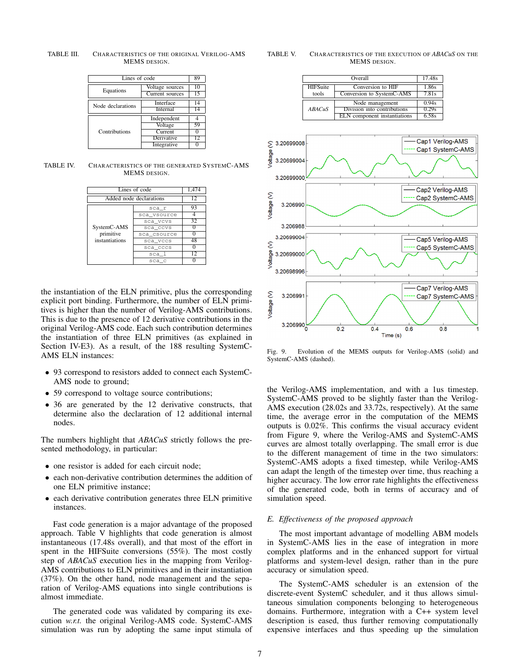| Lines of code     |                 | 89 |
|-------------------|-----------------|----|
| Equations         | Voltage sources | 10 |
|                   | Current sources | 15 |
| Node declarations | Interface       | 14 |
|                   | Internal        |    |
|                   | Independent     |    |
|                   | Voltage         | 59 |
| Contributions     | Current         |    |
|                   | Derivative      | 12 |
|                   | Integrative     |    |

TABLE III. CHARACTERISTICS OF THE ORIGINAL VERILOG-AMS MEMS DESIGN.

TABLE IV. CHARACTERISTICS OF THE GENERATED SYSTEMC-AMS MEMS DESIGN.

| Lines of code                              |             | 1,474 |
|--------------------------------------------|-------------|-------|
| Added node declarations                    |             | 12    |
|                                            | sca r       | 93    |
|                                            | sca_vsource |       |
| SystemC-AMS<br>primitive<br>instantiations | sca vcvs    | 32    |
|                                            | sca ccvs    |       |
|                                            | sca csource |       |
|                                            | sca vccs    | 48    |
|                                            | sca cccs    |       |
|                                            | sca l       | 12    |
|                                            | sca c       |       |

the instantiation of the ELN primitive, plus the corresponding explicit port binding. Furthermore, the number of ELN primitives is higher than the number of Verilog-AMS contributions. This is due to the presence of 12 derivative contributions in the original Verilog-AMS code. Each such contribution determines the instantiation of three ELN primitives (as explained in Section IV-E3). As a result, of the 188 resulting SystemC-AMS ELN instances:

- *•* 93 correspond to resistors added to connect each SystemC-AMS node to ground;
- 59 correspond to voltage source contributions;
- *•* 36 are generated by the 12 derivative constructs, that determine also the declaration of 12 additional internal nodes.

The numbers highlight that *ABACuS* strictly follows the presented methodology, in particular:

- one resistor is added for each circuit node;
- each non-derivative contribution determines the addition of one ELN primitive instance;
- each derivative contribution generates three ELN primitive instances.

Fast code generation is a major advantage of the proposed approach. Table V highlights that code generation is almost instantaneous (17.48s overall), and that most of the effort in spent in the HIFSuite conversions (55%). The most costly step of *ABACuS* execution lies in the mapping from Verilog-AMS contributions to ELN primitives and in their instantiation (37%). On the other hand, node management and the separation of Verilog-AMS equations into single contributions is almost immediate.

The generated code was validated by comparing its execution *w.r.t.* the original Verilog-AMS code. SystemC-AMS simulation was run by adopting the same input stimula of



TABLE V. CHARACTERISTICS OF THE EXECUTION OF *ABACuS* ON THE MEMS DESIGN.

Fig. 9. Evolution of the MEMS outputs for Verilog-AMS (solid) and SystemC-AMS (dashed).

the Verilog-AMS implementation, and with a 1us timestep. SystemC-AMS proved to be slightly faster than the Verilog-AMS execution (28.02s and 33.72s, respectively). At the same time, the average error in the computation of the MEMS outputs is 0.02%. This confirms the visual accuracy evident from Figure 9, where the Verilog-AMS and SystemC-AMS curves are almost totally overlapping. The small error is due to the different management of time in the two simulators: SystemC-AMS adopts a fixed timestep, while Verilog-AMS can adapt the length of the timestep over time, thus reaching a higher accuracy. The low error rate highlights the effectiveness of the generated code, both in terms of accuracy and of simulation speed.

# *E. Effectiveness of the proposed approach*

The most important advantage of modelling ABM models in SystemC-AMS lies in the ease of integration in more complex platforms and in the enhanced support for virtual platforms and system-level design, rather than in the pure accuracy or simulation speed.

The SystemC-AMS scheduler is an extension of the discrete-event SystemC scheduler, and it thus allows simultaneous simulation components belonging to heterogeneous domains. Furthermore, integration with a C++ system level description is eased, thus further removing computationally expensive interfaces and thus speeding up the simulation